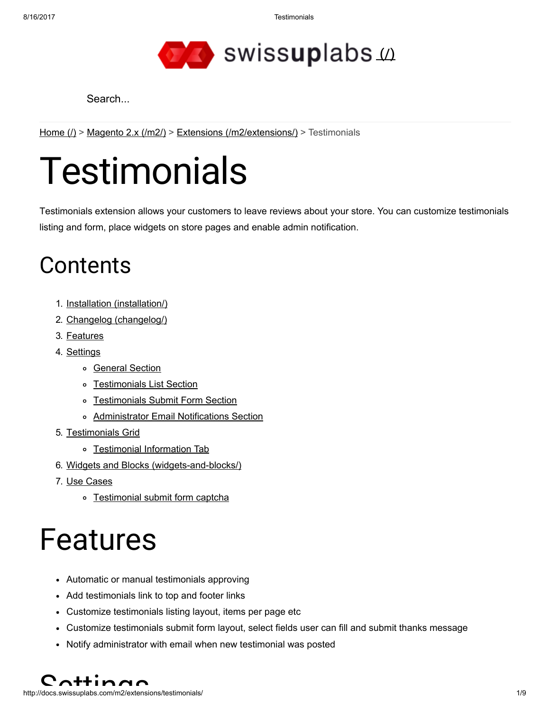8/16/2017 Testimonials



Search...

[Home](http://docs.swissuplabs.com/)  $($ ) > [Magento](http://docs.swissuplabs.com/m2/) 2.x ( $/m2$ ) > Extensions ( $/m2$ /extensions/) > Testimonials

# **Testimonials**

Testimonials extension allows your customers to leave reviews about your store. You can customize testimonials listing and form, place widgets on store pages and enable admin notification.

### **Contents**

- 1. Installation [\(installation/\)](http://docs.swissuplabs.com/m2/extensions/testimonials/installation/)
- 2. Changelog [\(changelog/\)](http://docs.swissuplabs.com/m2/extensions/testimonials/changelog/)
- 3. [Features](#page-0-0)
- 4. [Settings](#page-0-1)
	- o [General](#page-1-0) Section
	- o [Testimonials](#page-1-1) List Section
	- o [Testimonials](#page-2-0) Submit Form Section
	- [Administrator](#page-3-0) Email Notifications Section
- 5. [Testimonials](#page-4-0) Grid
	- o [Testimonial](#page-5-0) Information Tab
- 6. Widgets and Blocks [\(widgets-and-blocks/\)](http://docs.swissuplabs.com/m2/extensions/testimonials/widgets-and-blocks/)
- 7. Use [Cases](#page-6-0)
	- o [Testimonial](#page-6-1) submit form captcha

## <span id="page-0-0"></span>Features

- Automatic or manual testimonials approving
- Add testimonials link to top and footer links
- Customize testimonials listing layout, items per page etc
- Customize testimonials submit form layout, select fields user can fill and submit thanks message
- Notify administrator with email when new testimonial was posted

<span id="page-0-1"></span>http://docs.swissuplabs.com/m2/extensions/testimonials/ 1/9  $C$  $A$ <sup>++</sup>in $B$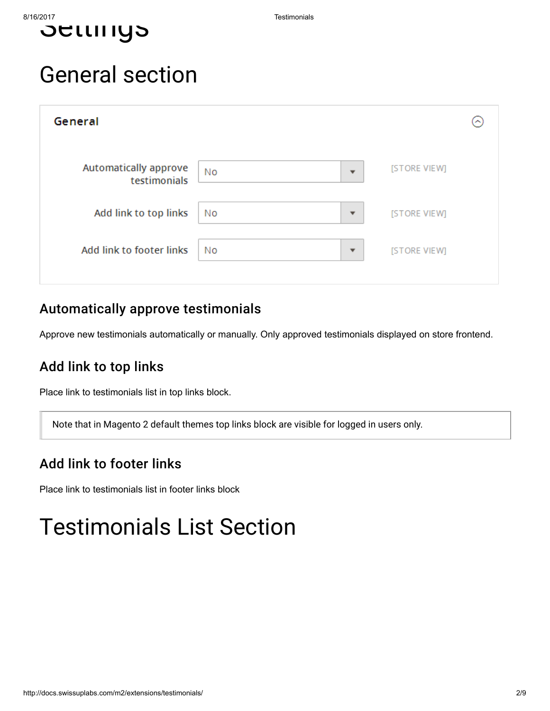

### <span id="page-1-0"></span>General section

| General                               |                                |              | ∽ |
|---------------------------------------|--------------------------------|--------------|---|
| Automatically approve<br>testimonials | No<br>$\overline{\phantom{a}}$ | [STORE VIEW] |   |
| Add link to top links                 | No<br>$\overline{\phantom{a}}$ | [STORE VIEW] |   |
| Add link to footer links              | No<br>$\overline{\phantom{a}}$ | [STORE VIEW] |   |
|                                       |                                |              |   |

#### Automatically approve testimonials

Approve new testimonials automatically or manually. Only approved testimonials displayed on store frontend.

#### Add link to top links

Place link to testimonials list in top links block.

Note that in Magento 2 default themes top links block are visible for logged in users only.

#### Add link to footer links

Place link to testimonials list in footer links block

### <span id="page-1-1"></span>Testimonials List Section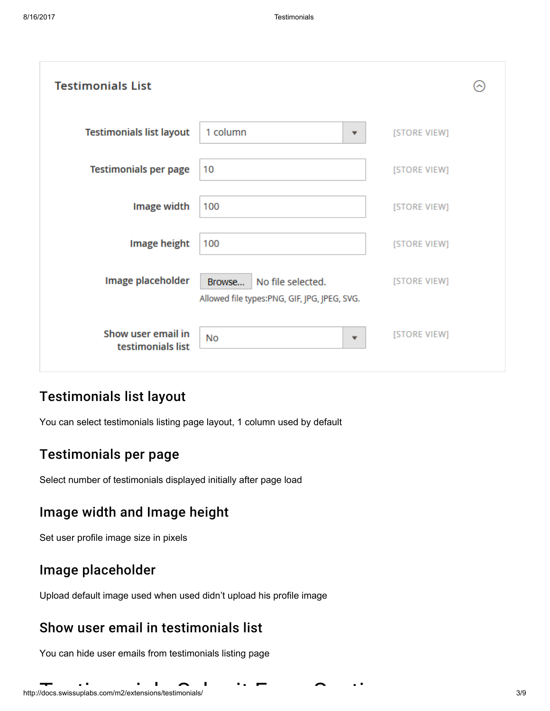| <b>Testimonials List</b>                |                                                                             |              |
|-----------------------------------------|-----------------------------------------------------------------------------|--------------|
| <b>Testimonials list layout</b>         | 1 column<br>▼                                                               | [STORE VIEW] |
| <b>Testimonials per page</b>            | 10                                                                          | [STORE VIEW] |
| Image width                             | 100                                                                         | [STORE VIEW] |
| Image height                            | 100                                                                         | [STORE VIEW] |
| Image placeholder                       | No file selected.<br>Browse<br>Allowed file types:PNG, GIF, JPG, JPEG, SVG. | [STORE VIEW] |
| Show user email in<br>testimonials list | <b>No</b><br>$\overline{\mathbf{v}}$                                        | [STORE VIEW] |

#### Testimonials list layout

You can select testimonials listing page layout, 1 column used by default

#### Testimonials per page

Select number of testimonials displayed initially after page load

#### Image width and Image height

Set user profile image size in pixels

#### Image placeholder

Upload default image used when used didn't upload his profile image

#### Show user email in testimonials list

<span id="page-2-0"></span>You can hide user emails from testimonials listing page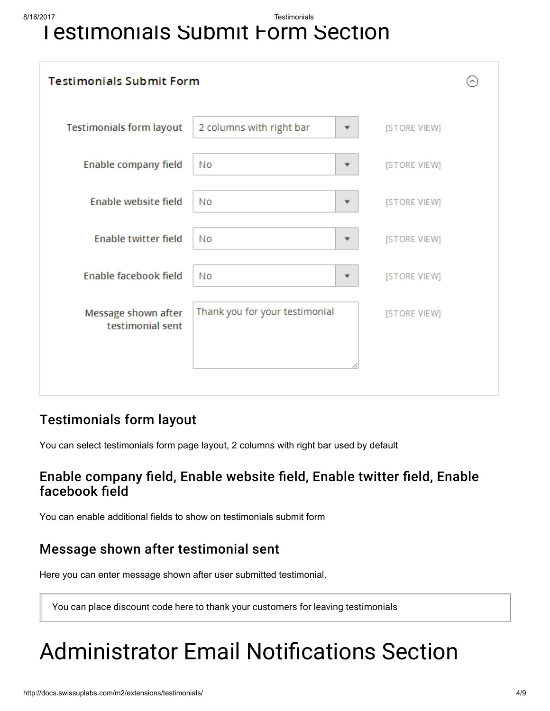8/16/2017 Testimonials

### **Testimonials Submit Form Section**

| <b>Testimonials Submit Form</b>         |                                                |  |  |  |
|-----------------------------------------|------------------------------------------------|--|--|--|
| <b>Testimonials form layout</b>         | 2 columns with right bar<br>[STORE VIEW]<br>▼  |  |  |  |
| Enable company field                    | No<br>[STORE VIEW]<br>▼                        |  |  |  |
| Enable website field                    | No<br>[STORE VIEW]<br>▼                        |  |  |  |
| Enable twitter field                    | No<br>[STORE VIEW]<br>▼                        |  |  |  |
| Enable facebook field                   | No<br>[STORE VIEW]<br>▼                        |  |  |  |
| Message shown after<br>testimonial sent | Thank you for your testimonial<br>[STORE VIEW] |  |  |  |
|                                         |                                                |  |  |  |

#### Testimonials form layout

You can select testimonials form page layout, 2 columns with right bar used by default

#### Enable company field, Enable website field, Enable twitter field, Enable facebook field

You can enable additional fields to show on testimonials submit form

#### Message shown after testimonial sent

Here you can enter message shown after user submitted testimonial.

You can place discount code here to thank your customers for leaving testimonials

### <span id="page-3-0"></span>**Administrator Email Notifications Section**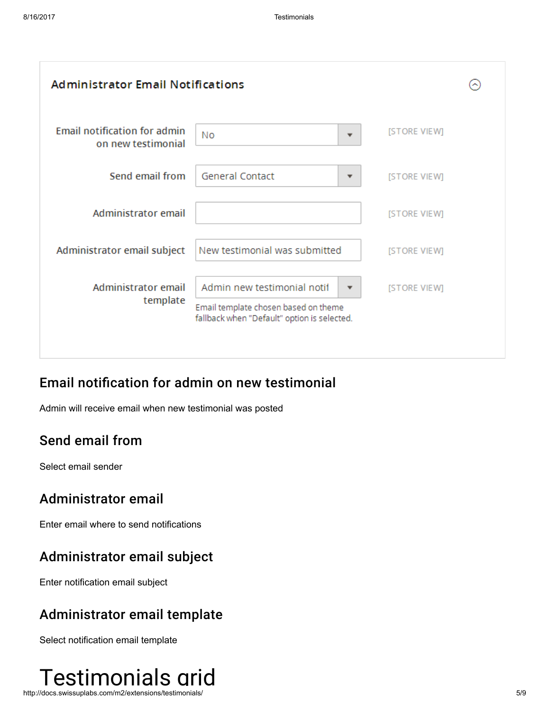| <b>Administrator Email Notifications</b>                  |                                                                                                                                                |              |  |  |
|-----------------------------------------------------------|------------------------------------------------------------------------------------------------------------------------------------------------|--------------|--|--|
| <b>Email notification for admin</b><br>on new testimonial | Νo                                                                                                                                             | [STORE VIEW] |  |  |
| Send email from                                           | <b>General Contact</b><br>▼                                                                                                                    | [STORE VIEW] |  |  |
| Administrator email                                       |                                                                                                                                                | [STORE VIEW] |  |  |
| Administrator email subject                               | New testimonial was submitted                                                                                                                  | [STORE VIEW] |  |  |
| Administrator email<br>template                           | Admin new testimonial notif<br>$\overline{\phantom{a}}$<br>Email template chosen based on theme<br>fallback when "Default" option is selected. | [STORE VIEW] |  |  |
|                                                           |                                                                                                                                                |              |  |  |

#### Email notification for admin on new testimonial

Admin will receive email when new testimonial was posted

#### Send email from

Select email sender

#### Administrator email

Enter email where to send notifications

#### Administrator email subject

Enter notification email subject

#### Administrator email template

Select notification email template

<span id="page-4-0"></span>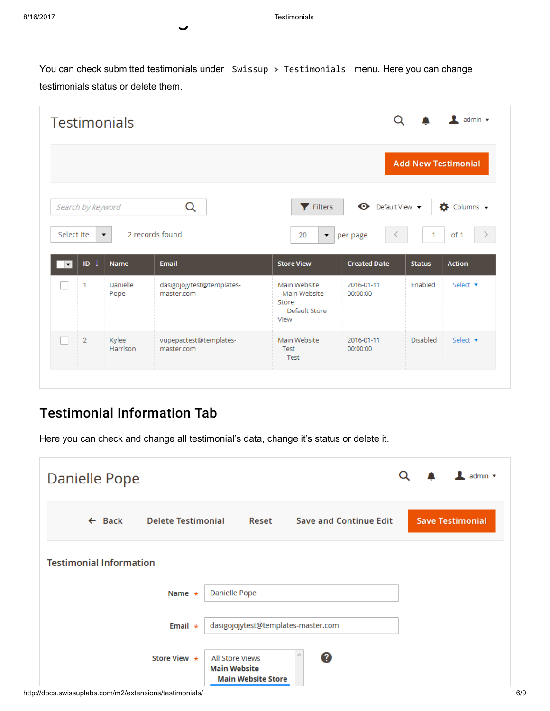You can check submitted testimonials under Swissup > Testimonials menu. Here you can change testimonials status or delete them.

| <b>Testimonials</b>           |                   |                      |                                         | $\frac{1}{2}$ admin $\sqrt{ }$                                 |                                  |                            |                             |
|-------------------------------|-------------------|----------------------|-----------------------------------------|----------------------------------------------------------------|----------------------------------|----------------------------|-----------------------------|
|                               |                   |                      |                                         |                                                                |                                  | <b>Add New Testimonial</b> |                             |
|                               | Search by keyword |                      | Q                                       | Filters                                                        | $\bullet$ Default View $\bullet$ |                            | $\bullet$ Columns $\bullet$ |
|                               | Select Ite        | $\blacktriangledown$ | 2 records found                         | 20<br>$\blacktriangledown$                                     | per page<br>≦                    | -1                         | of 1                        |
| $\vert \bm{\mathrm{v}} \vert$ | ID $\downarrow$   | <b>Name</b>          | <b>Email</b>                            | <b>Store View</b>                                              | <b>Created Date</b>              | <b>Status</b>              | <b>Action</b>               |
|                               | 1                 | Danielle<br>Pope     | dasigojojytest@templates-<br>master.com | Main Website<br>Main Website<br>Store<br>Default Store<br>View | 2016-01-11<br>00:00:00           | Enabled                    | Select $\blacktriangledown$ |
|                               | $\overline{2}$    | Kylee<br>Harrison    | vupepactest@templates-<br>master.com    | Main Website<br>Test                                           | 2016-01-11<br>00:00:00           | <b>Disabled</b>            | Select $\blacktriangledown$ |

#### <span id="page-5-0"></span>Testimonial Information Tab

testimonials gride

Here you can check and change all testimonial's data, change it's status or delete it.

| Danielle Pope                                           |                           |                                                                     |                               | admin $\blacktriangledown$<br>Q |
|---------------------------------------------------------|---------------------------|---------------------------------------------------------------------|-------------------------------|---------------------------------|
| $\leftarrow$ Back                                       | <b>Delete Testimonial</b> | Reset                                                               | <b>Save and Continue Edit</b> | <b>Save Testimonial</b>         |
| <b>Testimonial Information</b>                          |                           |                                                                     |                               |                                 |
|                                                         | Name $\star$              | Danielle Pope                                                       |                               |                                 |
|                                                         | Email $\star$             | dasigojojytest@templates-master.com                                 |                               |                                 |
|                                                         | Store View $\star$        | All Store Views<br><b>Main Website</b><br><b>Main Website Store</b> | 0                             |                                 |
| http://docs.swissuplabs.com/m2/extensions/testimonials/ |                           |                                                                     |                               |                                 |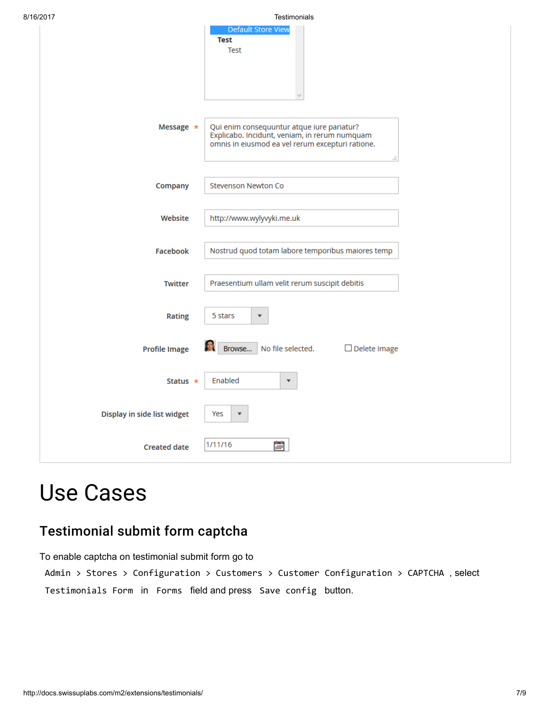| 8/16/2017 |                             | Testimonials                                                                                                                                           |
|-----------|-----------------------------|--------------------------------------------------------------------------------------------------------------------------------------------------------|
|           |                             | <b>Default Store View</b><br><b>Test</b><br>Test                                                                                                       |
|           | Message *                   | Qui enim consequuntur atque iure pariatur?<br>Explicabo. Incidunt, veniam, in rerum numquam<br>omnis in eiusmod ea vel rerum excepturi ratione.<br>al. |
|           | Company                     | Stevenson Newton Co                                                                                                                                    |
|           | Website                     | http://www.wylyvyki.me.uk                                                                                                                              |
|           | Facebook                    | Nostrud quod totam labore temporibus maiores temp                                                                                                      |
|           | <b>Twitter</b>              | Praesentium ullam velit rerum suscipit debitis                                                                                                         |
|           | <b>Rating</b>               | 5 stars<br>$\overline{\mathbf{v}}$                                                                                                                     |
|           | <b>Profile Image</b>        | No file selected.<br>Browse<br>$\Box$ Delete Image                                                                                                     |
|           | Status $\star$              | Enabled<br>$\overline{\mathbf{v}}$                                                                                                                     |
|           | Display in side list widget | Yes<br>$\overline{\mathbf{v}}$                                                                                                                         |
|           | <b>Created date</b>         | 鸕<br>1/11/16                                                                                                                                           |

### <span id="page-6-0"></span>Use Cases

#### <span id="page-6-1"></span>Testimonial submit form captcha

To enable captcha on testimonial submit form go to

Admin > Stores > Configuration > Customers > Customer Configuration > CAPTCHA , select Testimonials Form in Forms field and press Save config button.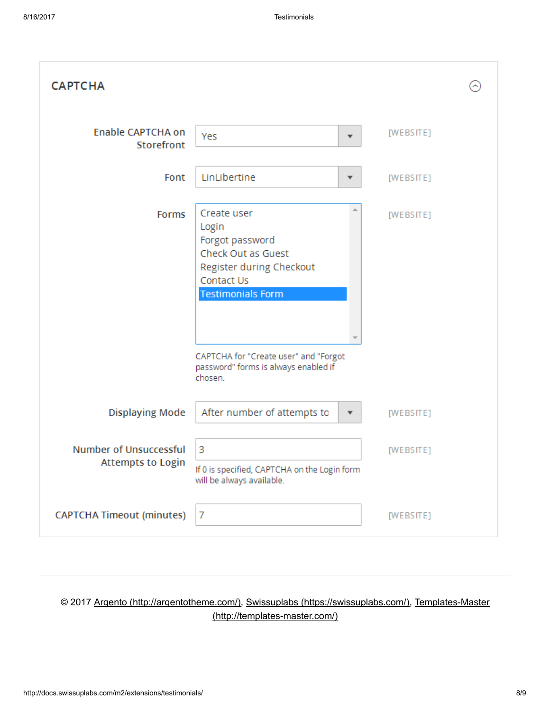| <b>CAPTCHA</b>                                            |                                                                                                                                                                                                                                 |           |  |
|-----------------------------------------------------------|---------------------------------------------------------------------------------------------------------------------------------------------------------------------------------------------------------------------------------|-----------|--|
| <b>Enable CAPTCHA on</b><br>Storefront                    | Yes<br>$\overline{\mathbf{v}}$                                                                                                                                                                                                  | [WEBSITE] |  |
| Font                                                      | LinLibertine<br>$\overline{\mathbf v}$                                                                                                                                                                                          | [WEBSITE] |  |
| Forms                                                     | Create user<br>Login<br>Forgot password<br>Check Out as Guest<br>Register during Checkout<br>Contact Us<br><b>Testimonials Form</b><br>CAPTCHA for "Create user" and "Forgot<br>password" forms is always enabled if<br>chosen. | [WEBSITE] |  |
| <b>Displaying Mode</b>                                    | After number of attempts to<br>▼                                                                                                                                                                                                | [WEBSITE] |  |
| <b>Number of Unsuccessful</b><br><b>Attempts to Login</b> | 3<br>If 0 is specified, CAPTCHA on the Login form<br>will be always available.                                                                                                                                                  | [WEBSITE] |  |
| <b>CAPTCHA Timeout (minutes)</b>                          | 7                                                                                                                                                                                                                               | [WEBSITE] |  |

#### © 2017 Argento [\(http://argentotheme.com/\)](http://argentotheme.com/), Swissuplabs [\(https://swissuplabs.com/\),](https://swissuplabs.com/) Templates-Master [\(http://templates-master.com/\)](http://templates-master.com/)